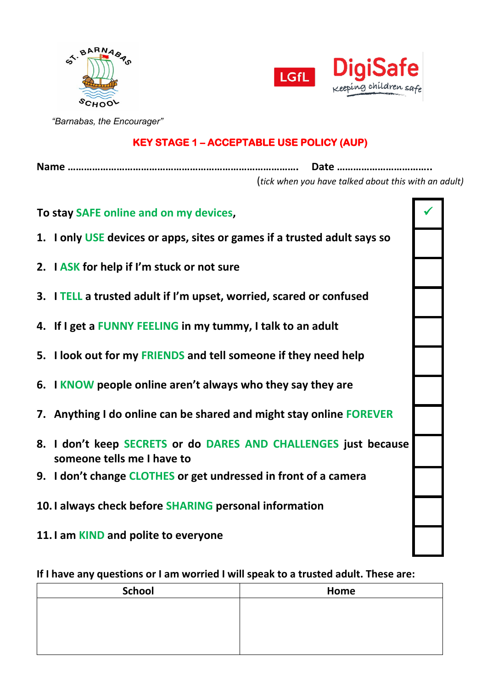



 *"Barnabas, the Encourager"*

## **KEY STAGE 1 – ACCEPTABLE USE POLICY (AUP)**

**Name …………………………………………………………………………. Date ……………………………..** (*tick when you have talked about this with an adult)*

| To stay SAFE online and on my devices,                                                        |  |
|-----------------------------------------------------------------------------------------------|--|
| 1. I only USE devices or apps, sites or games if a trusted adult says so                      |  |
| 2. I ASK for help if I'm stuck or not sure                                                    |  |
| 3. I TELL a trusted adult if I'm upset, worried, scared or confused                           |  |
| 4. If I get a FUNNY FEELING in my tummy, I talk to an adult                                   |  |
| 5. I look out for my FRIENDS and tell someone if they need help                               |  |
| 6. I KNOW people online aren't always who they say they are                                   |  |
| 7. Anything I do online can be shared and might stay online FOREVER                           |  |
| 8. I don't keep SECRETS or do DARES AND CHALLENGES just because<br>someone tells me I have to |  |
| 9. I don't change CLOTHES or get undressed in front of a camera                               |  |
| 10. I always check before SHARING personal information                                        |  |
| 11. I am KIND and polite to everyone                                                          |  |

**If I have any questions or I am worried I will speak to a trusted adult. These are:**

| <b>School</b> | Home |
|---------------|------|
|               |      |
|               |      |
|               |      |
|               |      |